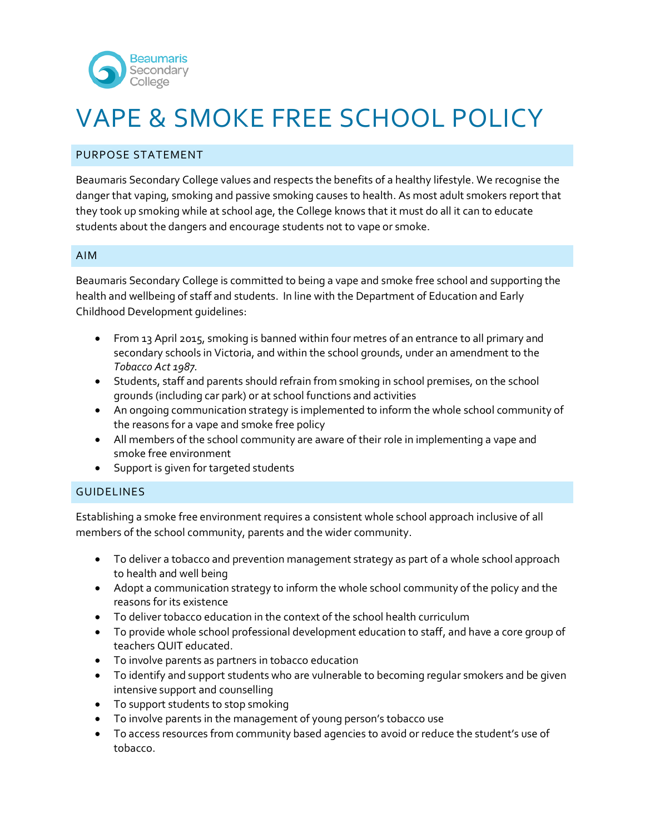

# VAPE & SMOKE FREE SCHOOL POLICY

## PURPOSE STATEMENT

Beaumaris Secondary College values and respects the benefits of a healthy lifestyle. We recognise the danger that vaping, smoking and passive smoking causes to health. As most adult smokers report that they took up smoking while at school age, the College knows that it must do all it can to educate students about the dangers and encourage students not to vape or smoke.

#### AIM

Beaumaris Secondary College is committed to being a vape and smoke free school and supporting the health and wellbeing of staff and students. In line with the Department of Education and Early Childhood Development guidelines:

- From 13 April 2015, smoking is banned within four metres of an entrance to all primary and secondary schools in Victoria, and within the school grounds, under an amendment to the *Tobacco Act 1987.*
- Students, staff and parents should refrain from smoking in school premises, on the school grounds (including car park) or at school functions and activities
- An ongoing communication strategy is implemented to inform the whole school community of the reasons for a vape and smoke free policy
- All members of the school community are aware of their role in implementing a vape and smoke free environment
- Support is given for targeted students

#### GUIDELINES

Establishing a smoke free environment requires a consistent whole school approach inclusive of all members of the school community, parents and the wider community.

- To deliver a tobacco and prevention management strategy as part of a whole school approach to health and well being
- Adopt a communication strategy to inform the whole school community of the policy and the reasons for its existence
- To deliver tobacco education in the context of the school health curriculum
- To provide whole school professional development education to staff, and have a core group of teachers QUIT educated.
- To involve parents as partners in tobacco education
- To identify and support students who are vulnerable to becoming regular smokers and be given intensive support and counselling
- To support students to stop smoking
- To involve parents in the management of young person's tobacco use
- To access resources from community based agencies to avoid or reduce the student's use of tobacco.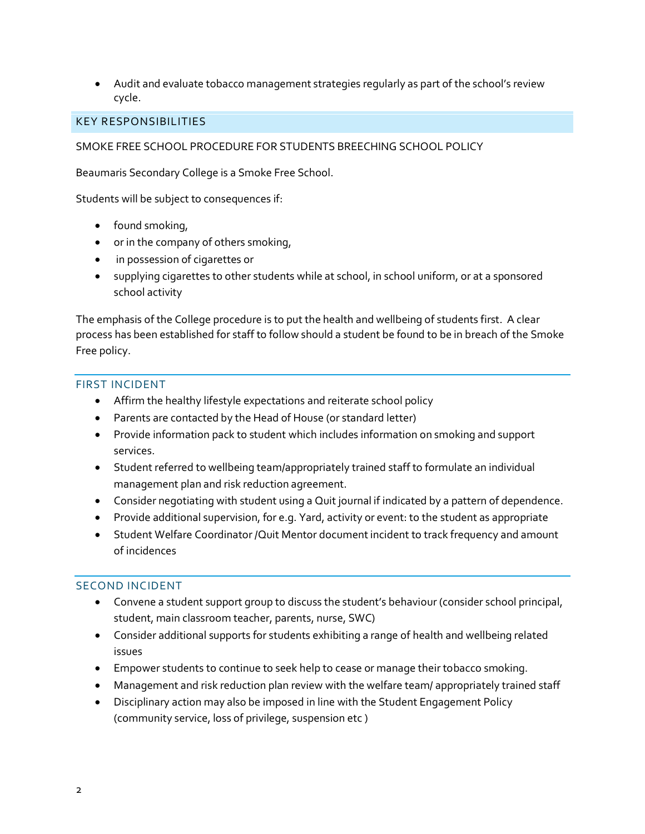• Audit and evaluate tobacco management strategies regularly as part of the school's review cycle.

#### KEY RESPONSIBILITIES

SMOKE FREE SCHOOL PROCEDURE FOR STUDENTS BREECHING SCHOOL POLICY

Beaumaris Secondary College is a Smoke Free School.

Students will be subject to consequences if:

- found smoking,
- or in the company of others smoking,
- in possession of cigarettes or
- supplying cigarettes to other students while at school, in school uniform, or at a sponsored school activity

The emphasis of the College procedure is to put the health and wellbeing of students first. A clear process has been established for staff to follow should a student be found to be in breach of the Smoke Free policy.

## FIRST INCIDENT

- Affirm the healthy lifestyle expectations and reiterate school policy
- Parents are contacted by the Head of House (or standard letter)
- Provide information pack to student which includes information on smoking and support services.
- Student referred to wellbeing team/appropriately trained staff to formulate an individual management plan and risk reduction agreement.
- Consider negotiating with student using a Quit journal if indicated by a pattern of dependence.
- Provide additional supervision, for e.g. Yard, activity or event: to the student as appropriate
- Student Welfare Coordinator /Quit Mentor document incident to track frequency and amount of incidences

#### SECOND INCIDENT

- Convene a student support group to discuss the student's behaviour (consider school principal, student, main classroom teacher, parents, nurse, SWC)
- Consider additional supports for students exhibiting a range of health and wellbeing related issues
- Empower students to continue to seek help to cease or manage their tobacco smoking.
- Management and risk reduction plan review with the welfare team/ appropriately trained staff
- Disciplinary action may also be imposed in line with the Student Engagement Policy (community service, loss of privilege, suspension etc )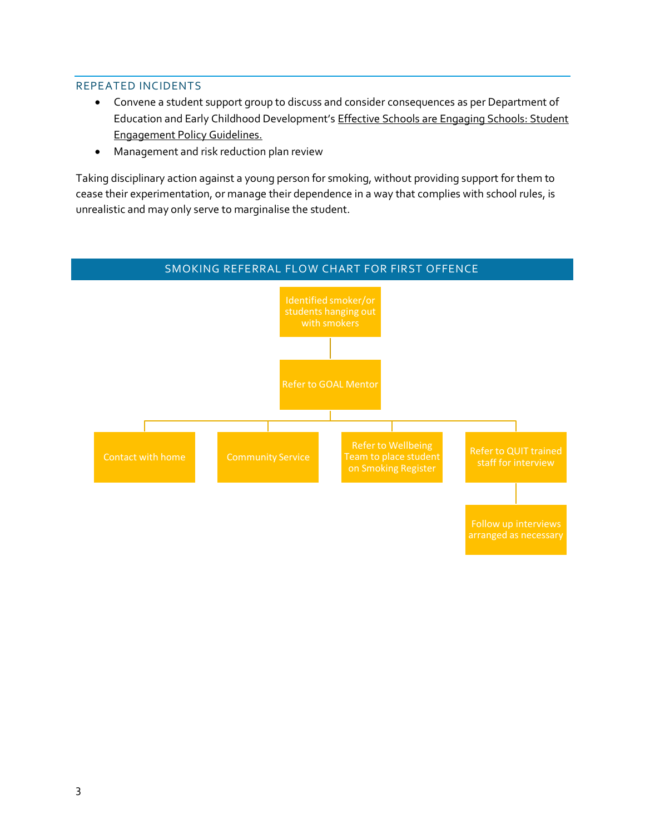#### REPEATED INCIDENTS

- Convene a student support group to discuss and consider consequences as per Department of Education and Early Childhood Development's Effective Schools are Engaging Schools: Student Engagement Policy Guidelines.
- Management and risk reduction plan review

Taking disciplinary action against a young person for smoking, without providing support for them to cease their experimentation, or manage their dependence in a way that complies with school rules, is unrealistic and may only serve to marginalise the student.

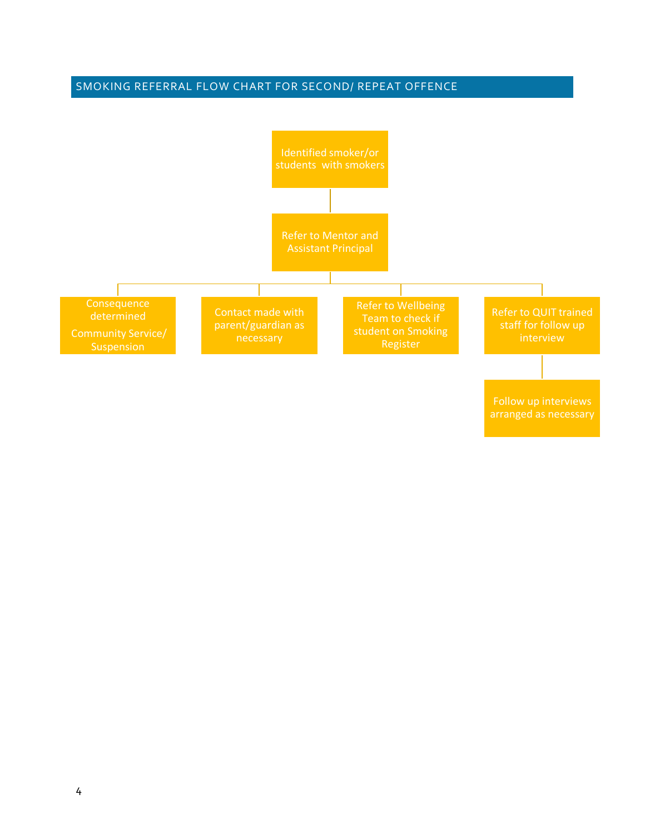# SMOKING REFERRAL FLOW CHART FOR SECOND/ REPEAT OFFENCE